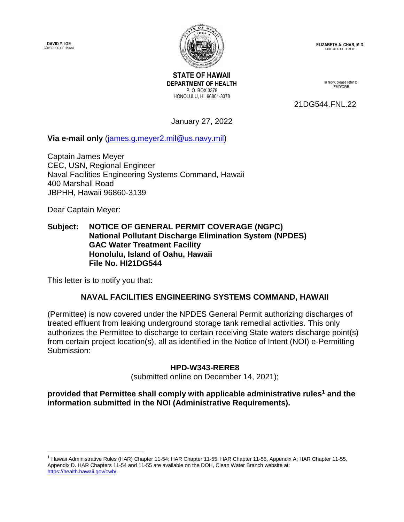**DAVID Y. IGE** GOVERNOR OF HAWAII



**ELIZABETH A. CHAR, M.D.** DIRECTOR OF HEALTH

**STATE OF HAWAII DEPARTMENT OF HEALTH** P. O. BOX 3378 HONOLULU, HI 96801-3378

In reply, please refer to: EMD/CWB

21DG544.FNL.22

January 27, 2022

**Via e-mail only** [\(james.g.meyer2.mil@us.navy.mil\)](mailto:james.g.meyer2.mil@us.navy.mil)

Captain James Meyer CEC, USN, Regional Engineer Naval Facilities Engineering Systems Command, Hawaii 400 Marshall Road JBPHH, Hawaii 96860-3139

Dear Captain Meyer:

 $\overline{a}$ 

## **Subject: NOTICE OF GENERAL PERMIT COVERAGE (NGPC) National Pollutant Discharge Elimination System (NPDES) GAC Water Treatment Facility Honolulu, Island of Oahu, Hawaii File No. HI21DG544**

This letter is to notify you that:

## **NAVAL FACILITIES ENGINEERING SYSTEMS COMMAND, HAWAII**

(Permittee) is now covered under the NPDES General Permit authorizing discharges of treated effluent from leaking underground storage tank remedial activities. This only authorizes the Permittee to discharge to certain receiving State waters discharge point(s) from certain project location(s), all as identified in the Notice of Intent (NOI) e-Permitting Submission:

## **HPD-W343-RERE8**

(submitted online on December 14, 2021);

**provided that Permittee shall comply with applicable administrative rules<sup>1</sup> and the information submitted in the NOI (Administrative Requirements).**

 $<sup>1</sup>$  Hawaii Administrative Rules (HAR) Chapter 11-54; HAR Chapter 11-55; HAR Chapter 11-55, Appendix A; HAR Chapter 11-55,</sup> Appendix D. HAR Chapters 11-54 and 11-55 are available on the DOH, Clean Water Branch website at: [https://health.hawaii.gov/cwb/.](https://health.hawaii.gov/cwb/)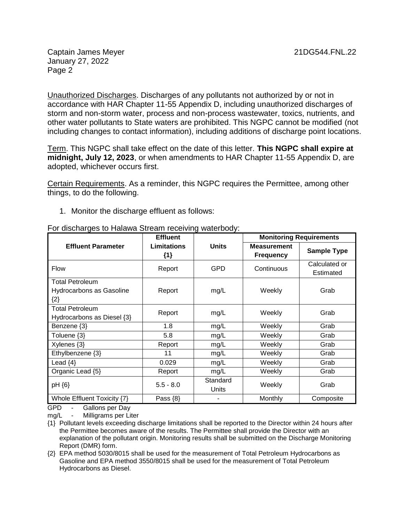Captain James Meyer 21DG544.FNL.22 January 27, 2022 Page 2

Unauthorized Discharges. Discharges of any pollutants not authorized by or not in accordance with HAR Chapter 11-55 Appendix D, including unauthorized discharges of storm and non-storm water, process and non-process wastewater, toxics, nutrients, and other water pollutants to State waters are prohibited. This NGPC cannot be modified (not including changes to contact information), including additions of discharge point locations.

Term. This NGPC shall take effect on the date of this letter. **This NGPC shall expire at midnight, July 12, 2023**, or when amendments to HAR Chapter 11-55 Appendix D, are adopted, whichever occurs first.

Certain Requirements. As a reminder, this NGPC requires the Permittee, among other things, to do the following.

1. Monitor the discharge effluent as follows:

| $\sim$ algorith good $\sim$ internal othoghn roodining material $\sim$ | <b>Effluent</b>             |                   | <b>Monitoring Requirements</b>         |                            |
|------------------------------------------------------------------------|-----------------------------|-------------------|----------------------------------------|----------------------------|
| <b>Effluent Parameter</b>                                              | <b>Limitations</b><br>${1}$ | <b>Units</b>      | <b>Measurement</b><br><b>Frequency</b> | <b>Sample Type</b>         |
| <b>Flow</b>                                                            | Report                      | GPD               | Continuous                             | Calculated or<br>Estimated |
| <b>Total Petroleum</b><br>Hydrocarbons as Gasoline<br>${2}$            | Report                      | mg/L              | Weekly                                 | Grab                       |
| <b>Total Petroleum</b><br>Hydrocarbons as Diesel {3}                   | Report                      | mg/L              | Weekly                                 | Grab                       |
| Benzene {3}                                                            | 1.8                         | mg/L              | Weekly                                 | Grab                       |
| Toluene {3}                                                            | 5.8                         | mg/L              | Weekly                                 | Grab                       |
| Xylenes {3}                                                            | Report                      | mg/L              | Weekly                                 | Grab                       |
| Ethylbenzene {3}                                                       | 11                          | mg/L              | Weekly                                 | Grab                       |
| Lead $\{4\}$                                                           | 0.029                       | mg/L              | Weekly                                 | Grab                       |
| Organic Lead {5}                                                       | Report                      | mg/L              | Weekly                                 | Grab                       |
| pH {6}                                                                 | $5.5 - 8.0$                 | Standard<br>Units | Weekly                                 | Grab                       |
| Whole Effluent Toxicity {7}                                            | Pass $\{8\}$                |                   | Monthly                                | Composite                  |

For discharges to Halawa Stream receiving waterbody:

GPD - Gallons per Day<br>mg/L - Milligrams per Lit

Milligrams per Liter

{1} Pollutant levels exceeding discharge limitations shall be reported to the Director within 24 hours after the Permittee becomes aware of the results. The Permittee shall provide the Director with an explanation of the pollutant origin. Monitoring results shall be submitted on the Discharge Monitoring Report (DMR) form.

{2} EPA method 5030/8015 shall be used for the measurement of Total Petroleum Hydrocarbons as Gasoline and EPA method 3550/8015 shall be used for the measurement of Total Petroleum Hydrocarbons as Diesel.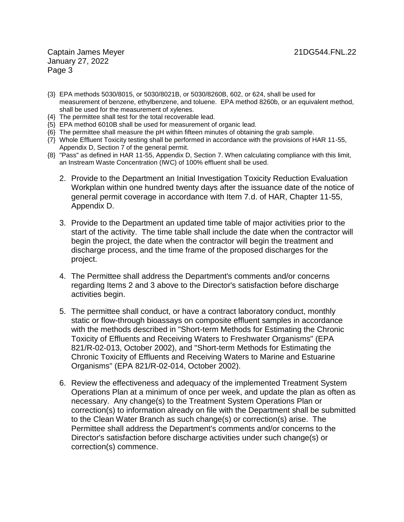Captain James Meyer 21DG544.FNL.22 January 27, 2022 Page 3

- {3} EPA methods 5030/8015, or 5030/8021B, or 5030/8260B, 602, or 624, shall be used for measurement of benzene, ethylbenzene, and toluene. EPA method 8260b, or an equivalent method, shall be used for the measurement of xylenes.
- {4} The permittee shall test for the total recoverable lead.
- {5} EPA method 6010B shall be used for measurement of organic lead.
- {6} The permittee shall measure the pH within fifteen minutes of obtaining the grab sample.
- {7} Whole Effluent Toxicity testing shall be performed in accordance with the provisions of HAR 11-55, Appendix D, Section 7 of the general permit.
- {8} "Pass" as defined in HAR 11-55, Appendix D, Section 7. When calculating compliance with this limit, an Instream Waste Concentration (IWC) of 100% effluent shall be used.
	- 2. Provide to the Department an Initial Investigation Toxicity Reduction Evaluation Workplan within one hundred twenty days after the issuance date of the notice of general permit coverage in accordance with Item 7.d. of HAR, Chapter 11-55, Appendix D.
	- 3. Provide to the Department an updated time table of major activities prior to the start of the activity. The time table shall include the date when the contractor will begin the project, the date when the contractor will begin the treatment and discharge process, and the time frame of the proposed discharges for the project.
	- 4. The Permittee shall address the Department's comments and/or concerns regarding Items 2 and 3 above to the Director's satisfaction before discharge activities begin.
	- 5. The permittee shall conduct, or have a contract laboratory conduct, monthly static or flow-through bioassays on composite effluent samples in accordance with the methods described in "Short-term Methods for Estimating the Chronic Toxicity of Effluents and Receiving Waters to Freshwater Organisms" (EPA 821/R-02-013, October 2002), and "Short-term Methods for Estimating the Chronic Toxicity of Effluents and Receiving Waters to Marine and Estuarine Organisms" (EPA 821/R-02-014, October 2002).
	- 6. Review the effectiveness and adequacy of the implemented Treatment System Operations Plan at a minimum of once per week, and update the plan as often as necessary. Any change(s) to the Treatment System Operations Plan or correction(s) to information already on file with the Department shall be submitted to the Clean Water Branch as such change(s) or correction(s) arise. The Permittee shall address the Department's comments and/or concerns to the Director's satisfaction before discharge activities under such change(s) or correction(s) commence.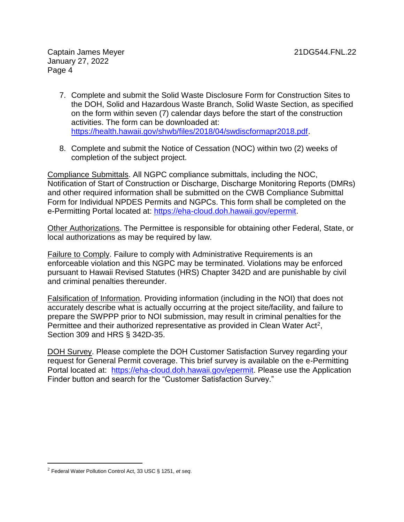- 7. Complete and submit the Solid Waste Disclosure Form for Construction Sites to the DOH, Solid and Hazardous Waste Branch, Solid Waste Section, as specified on the form within seven (7) calendar days before the start of the construction activities. The form can be downloaded at: [https://health.hawaii.gov/shwb/files/2018/04/swdiscformapr2018.pdf.](https://health.hawaii.gov/shwb/files/2018/04/swdiscformapr2018.pdf)
- 8. Complete and submit the Notice of Cessation (NOC) within two (2) weeks of completion of the subject project.

Compliance Submittals. All NGPC compliance submittals, including the NOC, Notification of Start of Construction or Discharge, Discharge Monitoring Reports (DMRs) and other required information shall be submitted on the CWB Compliance Submittal Form for Individual NPDES Permits and NGPCs. This form shall be completed on the e-Permitting Portal located at: [https://eha-cloud.doh.hawaii.gov/epermit.](https://eha-cloud.doh.hawaii.gov/epermit)

Other Authorizations. The Permittee is responsible for obtaining other Federal, State, or local authorizations as may be required by law.

Failure to Comply. Failure to comply with Administrative Requirements is an enforceable violation and this NGPC may be terminated. Violations may be enforced pursuant to Hawaii Revised Statutes (HRS) Chapter 342D and are punishable by civil and criminal penalties thereunder.

Falsification of Information. Providing information (including in the NOI) that does not accurately describe what is actually occurring at the project site/facility, and failure to prepare the SWPPP prior to NOI submission, may result in criminal penalties for the Permittee and their authorized representative as provided in Clean Water Act<sup>2</sup>, Section 309 and HRS § 342D-35.

DOH Survey. Please complete the DOH Customer Satisfaction Survey regarding your request for General Permit coverage. This brief survey is available on the e-Permitting Portal located at: [https://eha-cloud.doh.hawaii.gov/epermit.](https://eha-cloud.doh.hawaii.gov/epermit) Please use the Application Finder button and search for the "Customer Satisfaction Survey."

 $\overline{a}$ 

<sup>2</sup> Federal Water Pollution Control Act, 33 USC § 1251, *et seq*.